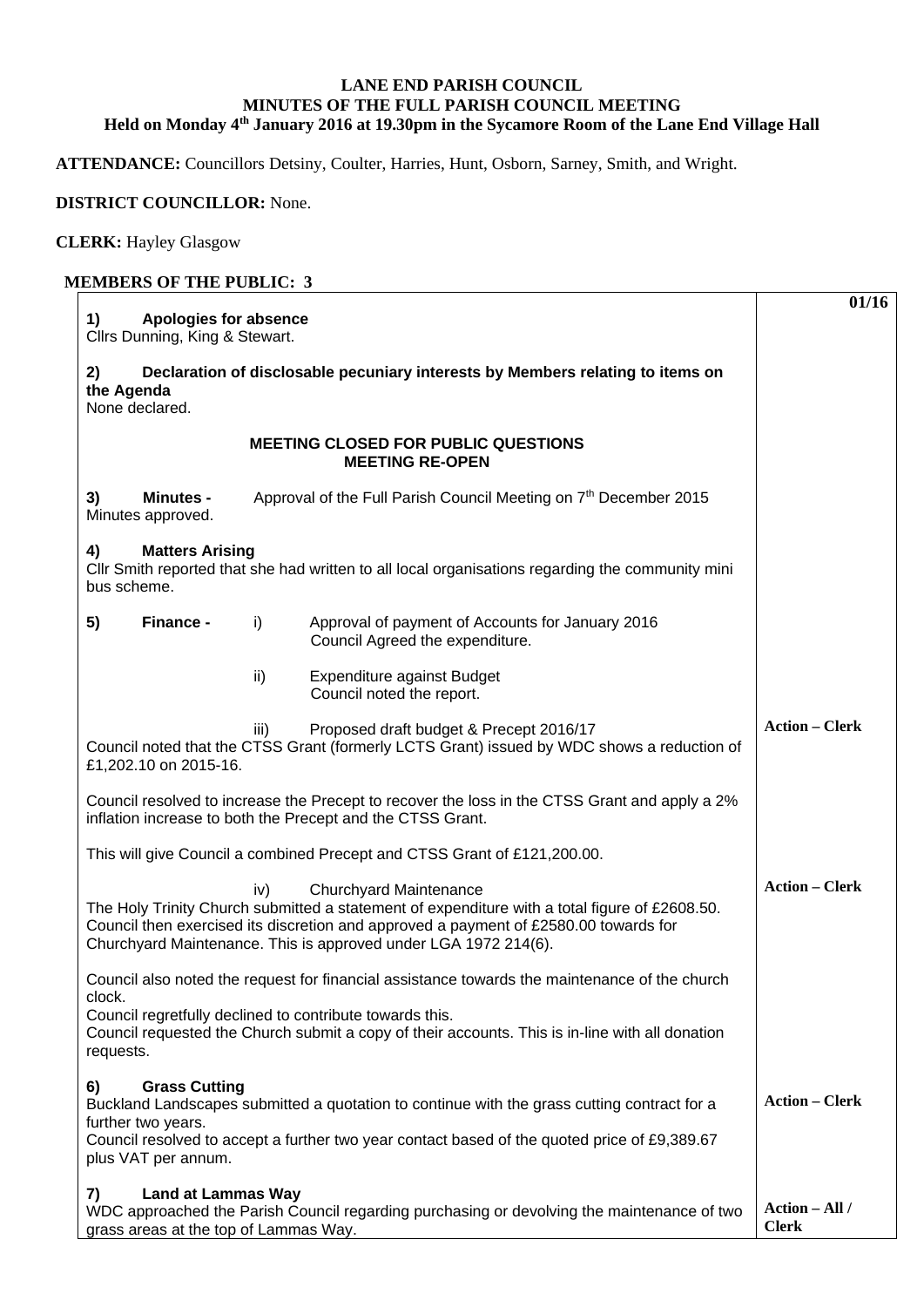## **LANE END PARISH COUNCIL MINUTES OF THE FULL PARISH COUNCIL MEETING Held on Monday 4th January 2016 at 19.30pm in the Sycamore Room of the Lane End Village Hall**

**ATTENDANCE:** Councillors Detsiny, Coulter, Harries, Hunt, Osborn, Sarney, Smith, and Wright.

## **DISTRICT COUNCILLOR:** None.

**CLERK:** Hayley Glasgow

## **MEMBERS OF THE PUBLIC: 3**

| 1)<br><b>Apologies for absence</b><br>Cllrs Dunning, King & Stewart.                                                                                                                                                                                                                      | 01/16                          |
|-------------------------------------------------------------------------------------------------------------------------------------------------------------------------------------------------------------------------------------------------------------------------------------------|--------------------------------|
| Declaration of disclosable pecuniary interests by Members relating to items on<br>2)<br>the Agenda<br>None declared.                                                                                                                                                                      |                                |
| <b>MEETING CLOSED FOR PUBLIC QUESTIONS</b><br><b>MEETING RE-OPEN</b>                                                                                                                                                                                                                      |                                |
| Approval of the Full Parish Council Meeting on 7th December 2015<br>3)<br><b>Minutes -</b><br>Minutes approved.                                                                                                                                                                           |                                |
| <b>Matters Arising</b><br>4)<br>CIIr Smith reported that she had written to all local organisations regarding the community mini<br>bus scheme.                                                                                                                                           |                                |
| 5)<br>Finance -<br>i)<br>Approval of payment of Accounts for January 2016<br>Council Agreed the expenditure.                                                                                                                                                                              |                                |
| ii)<br>Expenditure against Budget<br>Council noted the report.                                                                                                                                                                                                                            |                                |
| Proposed draft budget & Precept 2016/17<br>iii)<br>Council noted that the CTSS Grant (formerly LCTS Grant) issued by WDC shows a reduction of<br>£1,202.10 on 2015-16.                                                                                                                    | <b>Action - Clerk</b>          |
| Council resolved to increase the Precept to recover the loss in the CTSS Grant and apply a 2%<br>inflation increase to both the Precept and the CTSS Grant.                                                                                                                               |                                |
| This will give Council a combined Precept and CTSS Grant of £121,200.00.                                                                                                                                                                                                                  |                                |
| Churchyard Maintenance<br>iv)<br>The Holy Trinity Church submitted a statement of expenditure with a total figure of £2608.50.<br>Council then exercised its discretion and approved a payment of £2580.00 towards for<br>Churchyard Maintenance. This is approved under LGA 1972 214(6). | <b>Action - Clerk</b>          |
| Council also noted the request for financial assistance towards the maintenance of the church<br>clock.                                                                                                                                                                                   |                                |
| Council regretfully declined to contribute towards this.<br>Council requested the Church submit a copy of their accounts. This is in-line with all donation<br>requests.                                                                                                                  |                                |
| <b>Grass Cutting</b><br>6)<br>Buckland Landscapes submitted a quotation to continue with the grass cutting contract for a<br>further two years.                                                                                                                                           | <b>Action – Clerk</b>          |
| Council resolved to accept a further two year contact based of the quoted price of £9,389.67<br>plus VAT per annum.                                                                                                                                                                       |                                |
| <b>Land at Lammas Way</b><br>7)<br>WDC approached the Parish Council regarding purchasing or devolving the maintenance of two<br>grass areas at the top of Lammas Way.                                                                                                                    | Action - All /<br><b>Clerk</b> |